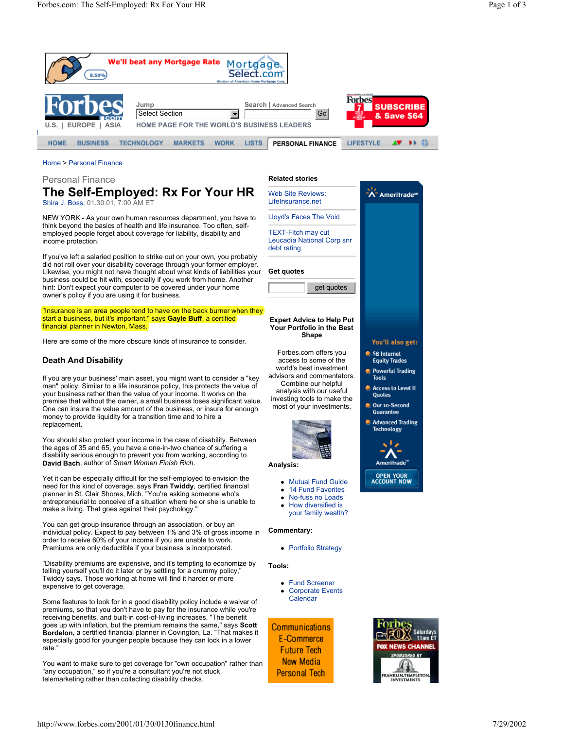

# Home > Personal Finance

Personal Finance

# **The Self-Employed: Rx For Your HR**  Shira J. Boss, 01.30.01, 7:00 AM ET

NEW YORK - As your own human resources department, you have to think beyond the basics of health and life insurance. Too often, selfemployed people forget about coverage for liability, disability and income protection.

If you've left a salaried position to strike out on your own, you probably did not roll over your disability coverage through your former employer. Likewise, you might not have thought about what kinds of liabilities your business could be hit with, especially if you work from home. Another hint: Don't expect your computer to be covered under your home owner's policy if you are using it for business.

"Insurance is an area people tend to have on the back burner when they start a business, but it's important," says **Gayle Buff**, a certified financial planner in Newton, Mass.

Here are some of the more obscure kinds of insurance to consider.

# **Death And Disability**

If you are your business' main asset, you might want to consider a "key man" policy. Similar to a life insurance policy, this protects the value of your business rather than the value of your income. It works on the premise that without the owner, a small business loses significant value. One can insure the value amount of the business, or insure for enough money to provide liquidity for a transition time and to hire a replacement.

You should also protect your income in the case of disability. Between the ages of 35 and 65, you have a one-in-two chance of suffering a disability serious enough to prevent you from working, according to **David Bach**, author of *Smart Women Finish Rich*.

Yet it can be especially difficult for the self-employed to envision the need for this kind of coverage, says **Fran Twiddy**, certified financial planner in St. Clair Shores, Mich. "You're asking someone who's entrepreneurial to conceive of a situation where he or she is unable to make a living. That goes against their psychology.'

You can get group insurance through an association, or buy an individual policy. Expect to pay between 1% and 3% of gross income in order to receive 60% of your income if you are unable to work. Premiums are only deductible if your business is incorporated.

"Disability premiums are expensive, and it's tempting to economize by telling yourself you'll do it later or by settling for a crummy policy," Twiddy says. Those working at home will find it harder or more expensive to get coverage.

Some features to look for in a good disability policy include a waiver of premiums, so that you don't have to pay for the insurance while you're receiving benefits, and built-in cost-of-living increases. "The benefit goes up with inflation, but the premium remains the same," says **Scott Bordelon**, a certified financial planner in Covington, La. "That makes it especially good for younger people because they can lock in a lower rate."

You want to make sure to get coverage for "own occupation" rather than "any occupation," so if you're a consultant you're not stuck telemarketing rather than collecting disability checks.

## **Related stories**

A-Ameritrade<sup>®</sup> Web Site Reviews: LifeInsurance.net Lloyd's Faces The Void TEXT-Fitch may cut Leucadia National Corp snr debt rating **Get quotes**  get quotes **Expert Advice to Help Put Your Portfolio in the Best Shape** You'll also get: \$8 Internet access to some of the **Equity Trades Powerful Trading** 

world's best investment<br>advisors and commentators. Forbes.com offers you<br>access to some of the<br>world's best investment<br>wisors and commentato world's best investment Combine our helpful analysis with our useful investing tools to make the most of your investments.



#### **Analysis:**

- Mutual Fund Guide
- 14 Fund Favorites
- No-fuss no Loads
- How diversified is your family wealth?

## **Commentary:**

• Portfolio Strategy

## **Tools:**

**Fund Screener Corporate Events Calendar** 

**Communications E-Commerce Future Tech New Media Personal Tech** 



Access to Level II Quotes Our 10-Second Guarantee **Advanced Trading Technology** 

> Ameritrade" **OPEN YOUR**<br>ACCOUNT NOW